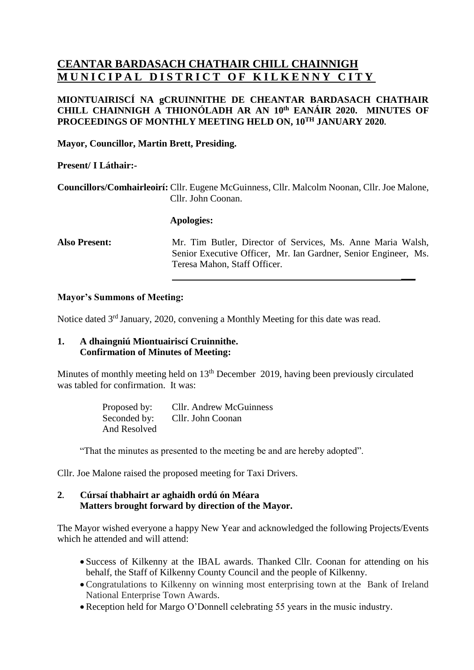# **CEANTAR BARDASACH CHATHAIR CHILL CHAINNIGH MUNICIPAL DISTRICT OF KILKENNY CITY**

## **MIONTUAIRISCÍ NA gCRUINNITHE DE CHEANTAR BARDASACH CHATHAIR CHILL CHAINNIGH A THIONÓLADH AR AN 10 th EANÁIR 2020. MINUTES OF PROCEEDINGS OF MONTHLY MEETING HELD ON, 10 TH JANUARY 2020.**

**Mayor, Councillor, Martin Brett, Presiding.**

#### **Present/ I Láthair:-**

**Councillors/Comhairleoirí:** Cllr. Eugene McGuinness, Cllr. Malcolm Noonan, Cllr. Joe Malone, Cllr. John Coonan.

#### **Apologies:**

**Also Present:** Mr. Tim Butler, Director of Services, Ms. Anne Maria Walsh, Senior Executive Officer, Mr. Ian Gardner, Senior Engineer, Ms. Teresa Mahon, Staff Officer.

**\_\_\_**

### **Mayor's Summons of Meeting:**

Notice dated 3<sup>rd</sup> January, 2020, convening a Monthly Meeting for this date was read.

### **1. A dhaingniú Miontuairiscí Cruinnithe. Confirmation of Minutes of Meeting:**

Minutes of monthly meeting held on 13<sup>th</sup> December 2019, having been previously circulated was tabled for confirmation. It was:

> Proposed by: Cllr. Andrew McGuinness Seconded by: Cllr. John Coonan And Resolved

"That the minutes as presented to the meeting be and are hereby adopted".

Cllr. Joe Malone raised the proposed meeting for Taxi Drivers.

#### **2. Cúrsaí thabhairt ar aghaidh ordú ón Méara Matters brought forward by direction of the Mayor.**

The Mayor wished everyone a happy New Year and acknowledged the following Projects/Events which he attended and will attend:

- Success of Kilkenny at the IBAL awards. Thanked Cllr. Coonan for attending on his behalf, the Staff of Kilkenny County Council and the people of Kilkenny.
- Congratulations to Kilkenny on winning most enterprising town at the Bank of Ireland National Enterprise Town Awards.
- Reception held for Margo O'Donnell celebrating 55 years in the music industry.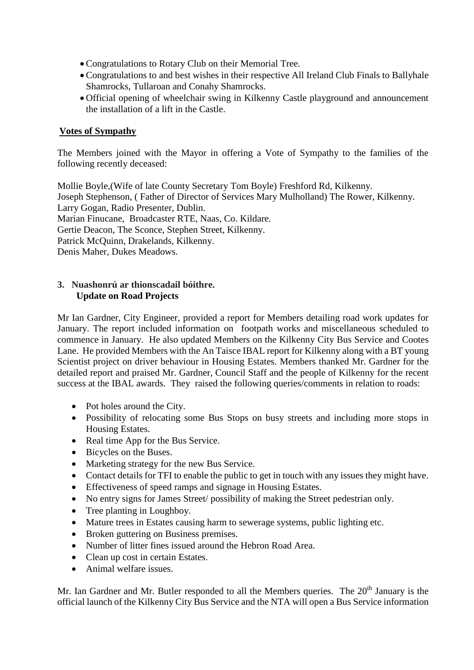- Congratulations to Rotary Club on their Memorial Tree.
- Congratulations to and best wishes in their respective All Ireland Club Finals to Ballyhale Shamrocks, Tullaroan and Conahy Shamrocks.
- Official opening of wheelchair swing in Kilkenny Castle playground and announcement the installation of a lift in the Castle.

# **Votes of Sympathy**

The Members joined with the Mayor in offering a Vote of Sympathy to the families of the following recently deceased:

Mollie Boyle,(Wife of late County Secretary Tom Boyle) Freshford Rd, Kilkenny. Joseph Stephenson, ( Father of Director of Services Mary Mulholland) The Rower, Kilkenny. Larry Gogan, Radio Presenter, Dublin. Marian Finucane, Broadcaster RTE, Naas, Co. Kildare. Gertie Deacon, The Sconce, Stephen Street, Kilkenny. Patrick McQuinn, Drakelands, Kilkenny. Denis Maher, Dukes Meadows.

# **3. Nuashonrú ar thionscadail bóithre. Update on Road Projects**

Mr Ian Gardner, City Engineer, provided a report for Members detailing road work updates for January. The report included information on footpath works and miscellaneous scheduled to commence in January. He also updated Members on the Kilkenny City Bus Service and Cootes Lane. He provided Members with the An Taisce IBAL report for Kilkenny along with a BT young Scientist project on driver behaviour in Housing Estates. Members thanked Mr. Gardner for the detailed report and praised Mr. Gardner, Council Staff and the people of Kilkenny for the recent success at the IBAL awards. They raised the following queries/comments in relation to roads:

- Pot holes around the City.
- Possibility of relocating some Bus Stops on busy streets and including more stops in Housing Estates.
- Real time App for the Bus Service.
- Bicycles on the Buses.
- Marketing strategy for the new Bus Service.
- Contact details for TFI to enable the public to get in touch with any issues they might have.
- Effectiveness of speed ramps and signage in Housing Estates.
- No entry signs for James Street/ possibility of making the Street pedestrian only.
- Tree planting in Loughboy.
- Mature trees in Estates causing harm to sewerage systems, public lighting etc.
- Broken guttering on Business premises.
- Number of litter fines issued around the Hebron Road Area.
- Clean up cost in certain Estates.
- Animal welfare issues.

Mr. Ian Gardner and Mr. Butler responded to all the Members queries. The  $20<sup>th</sup>$  January is the official launch of the Kilkenny City Bus Service and the NTA will open a Bus Service information